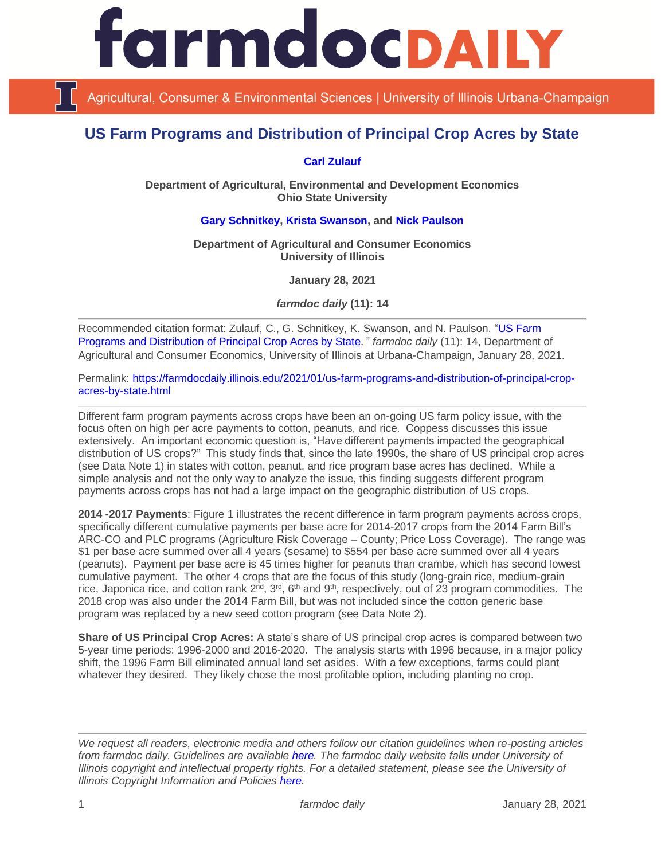

Agricultural, Consumer & Environmental Sciences | University of Illinois Urbana-Champaign

# **US Farm Programs and Distribution of Principal Crop Acres by State**

## **[Carl Zulauf](http://aede.osu.edu/our-people/carl-zulauf)**

**Department of Agricultural, Environmental and Development Economics Ohio State University**

## **[Gary Schnitkey,](https://ace.illinois.edu/directory/schnitke) [Krista Swanson,](https://ace.illinois.edu/directory/krista) and [Nick Paulson](https://ace.illinois.edu/directory/npaulson)**

**Department of Agricultural and Consumer Economics University of Illinois**

**January 28, 2021**

*farmdoc daily* **(11): 14**

Recommended citation format: Zulauf, C., G. Schnitkey, K. Swanson, and N. Paulson. ["US Farm](https://farmdocdaily.illinois.edu/2021/01/us-farm-programs-and-distribution-of-principal-crop-acres-by-state.html)  [Programs and Distribution of Principal Crop Acres by State](https://farmdocdaily.illinois.edu/2021/01/us-farm-programs-and-distribution-of-principal-crop-acres-by-state.html)." *farmdoc daily* (11): 14, Department of Agricultural and Consumer Economics, University of Illinois at Urbana-Champaign, January 28, 2021.

Permalink: [https://farmdocdaily.illinois.edu/2021/01/us-farm-programs-and-distribution-of-principal-crop](https://farmdocdaily.illinois.edu/2021/01/us-farm-programs-and-distribution-of-principal-crop-acres-by-state.html)[acres-by-state.html](https://farmdocdaily.illinois.edu/2021/01/us-farm-programs-and-distribution-of-principal-crop-acres-by-state.html)

Different farm program payments across crops have been an on-going US farm policy issue, with the focus often on high per acre payments to cotton, peanuts, and rice. Coppess discusses this issue extensively. An important economic question is, "Have different payments impacted the geographical distribution of US crops?" This study finds that, since the late 1990s, the share of US principal crop acres (see Data Note 1) in states with cotton, peanut, and rice program base acres has declined. While a simple analysis and not the only way to analyze the issue, this finding suggests different program payments across crops has not had a large impact on the geographic distribution of US crops.

**2014 -2017 Payments**: Figure 1 illustrates the recent difference in farm program payments across crops, specifically different cumulative payments per base acre for 2014-2017 crops from the 2014 Farm Bill's ARC-CO and PLC programs (Agriculture Risk Coverage – County; Price Loss Coverage). The range was \$1 per base acre summed over all 4 years (sesame) to \$554 per base acre summed over all 4 years (peanuts). Payment per base acre is 45 times higher for peanuts than crambe, which has second lowest cumulative payment. The other 4 crops that are the focus of this study (long-grain rice, medium-grain rice, Japonica rice, and cotton rank  $2^{nd}$ ,  $3^{rd}$ ,  $6^{th}$  and  $9^{th}$ , respectively, out of 23 program commodities. The 2018 crop was also under the 2014 Farm Bill, but was not included since the cotton generic base program was replaced by a new seed cotton program (see Data Note 2).

**Share of US Principal Crop Acres:** A state's share of US principal crop acres is compared between two 5-year time periods: 1996-2000 and 2016-2020. The analysis starts with 1996 because, in a major policy shift, the 1996 Farm Bill eliminated annual land set asides. With a few exceptions, farms could plant whatever they desired. They likely chose the most profitable option, including planting no crop.

*We request all readers, electronic media and others follow our citation guidelines when re-posting articles from farmdoc daily. Guidelines are available [here.](http://farmdocdaily.illinois.edu/citationguide.html) The farmdoc daily website falls under University of Illinois copyright and intellectual property rights. For a detailed statement, please see the University of Illinois Copyright Information and Policies [here.](http://www.cio.illinois.edu/policies/copyright/)*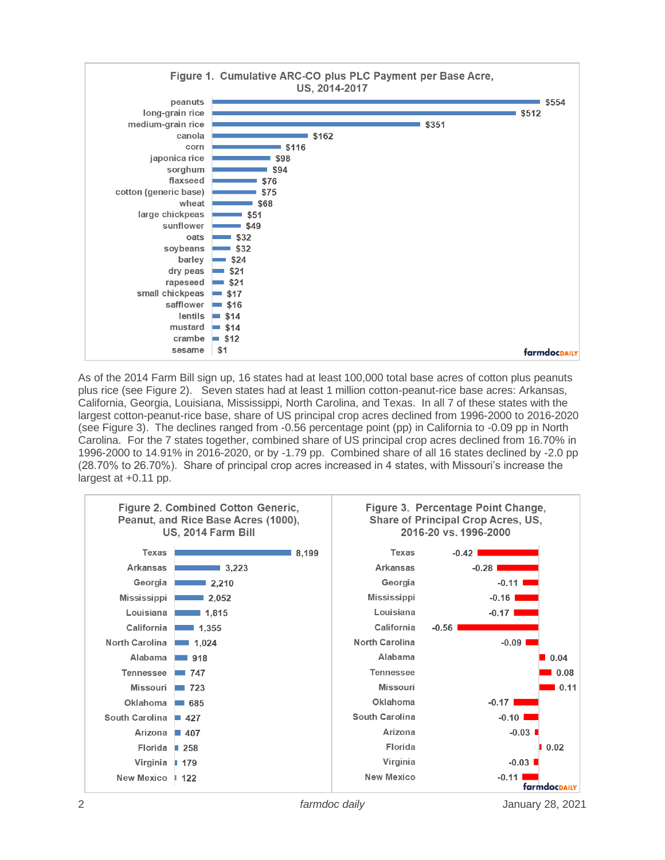

As of the 2014 Farm Bill sign up, 16 states had at least 100,000 total base acres of cotton plus peanuts plus rice (see Figure 2). Seven states had at least 1 million cotton-peanut-rice base acres: Arkansas, California, Georgia, Louisiana, Mississippi, North Carolina, and Texas. In all 7 of these states with the largest cotton-peanut-rice base, share of US principal crop acres declined from 1996-2000 to 2016-2020 (see Figure 3). The declines ranged from -0.56 percentage point (pp) in California to -0.09 pp in North Carolina. For the 7 states together, combined share of US principal crop acres declined from 16.70% in 1996-2000 to 14.91% in 2016-2020, or by -1.79 pp. Combined share of all 16 states declined by -2.0 pp (28.70% to 26.70%). Share of principal crop acres increased in 4 states, with Missouri's increase the largest at +0.11 pp.